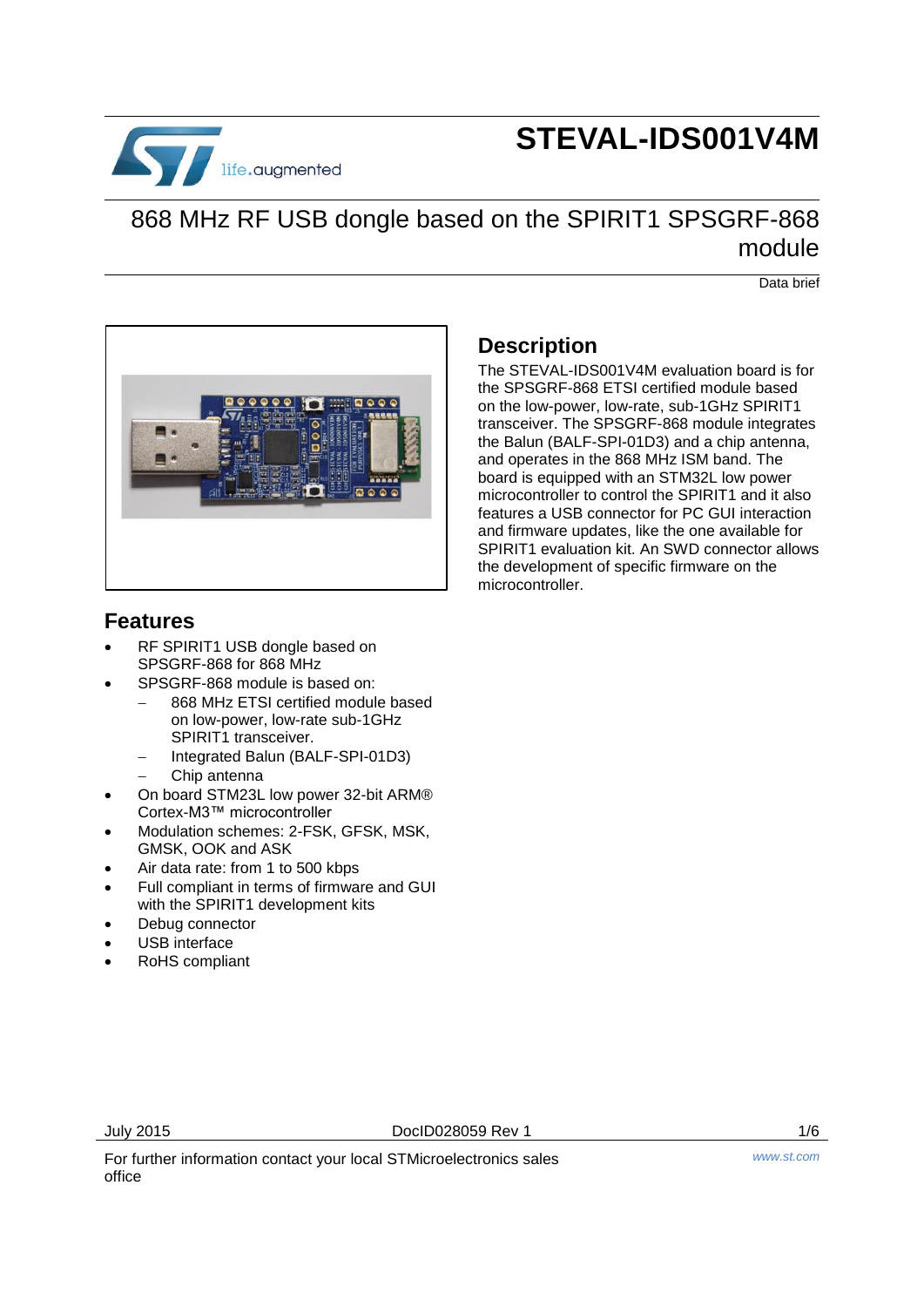

# **STEVAL-IDS001V4M**

## 868 MHz RF USB dongle based on the SPIRIT1 SPSGRF-868 module

Data brief



#### **Description**

The STEVAL-IDS001V4M evaluation board is for the SPSGRF-868 ETSI certified module based on the low-power, low-rate, sub-1GHz SPIRIT1 transceiver. The SPSGRF-868 module integrates the Balun (BALF-SPI-01D3) and a chip antenna, and operates in the 868 MHz ISM band. The board is equipped with an STM32L low power microcontroller to control the SPIRIT1 and it also features a USB connector for PC GUI interaction and firmware updates, like the one available for SPIRIT1 evaluation kit. An SWD connector allows the development of specific firmware on the microcontroller.

#### **Features**

- RF SPIRIT1 USB dongle based on SPSGRF-868 for 868 MHz
- SPSGRF-868 module is based on:
	- 868 MHz ETSI certified module based on low-power, low-rate sub-1GHz SPIRIT1 transceiver.
	- Integrated Balun (BALF-SPI-01D3)
	- Chip antenna
- On board STM23L low power 32-bit ARM® Cortex-M3™ microcontroller
- Modulation schemes: 2-FSK, GFSK, MSK, GMSK, OOK and ASK
- Air data rate: from 1 to 500 kbps
- Full compliant in terms of firmware and GUI with the SPIRIT1 development kits
- Debug connector
- USB interface
- RoHS compliant

July 2015 DocID028059 Rev 1 1/6

For further information contact your local STMicroelectronics sales office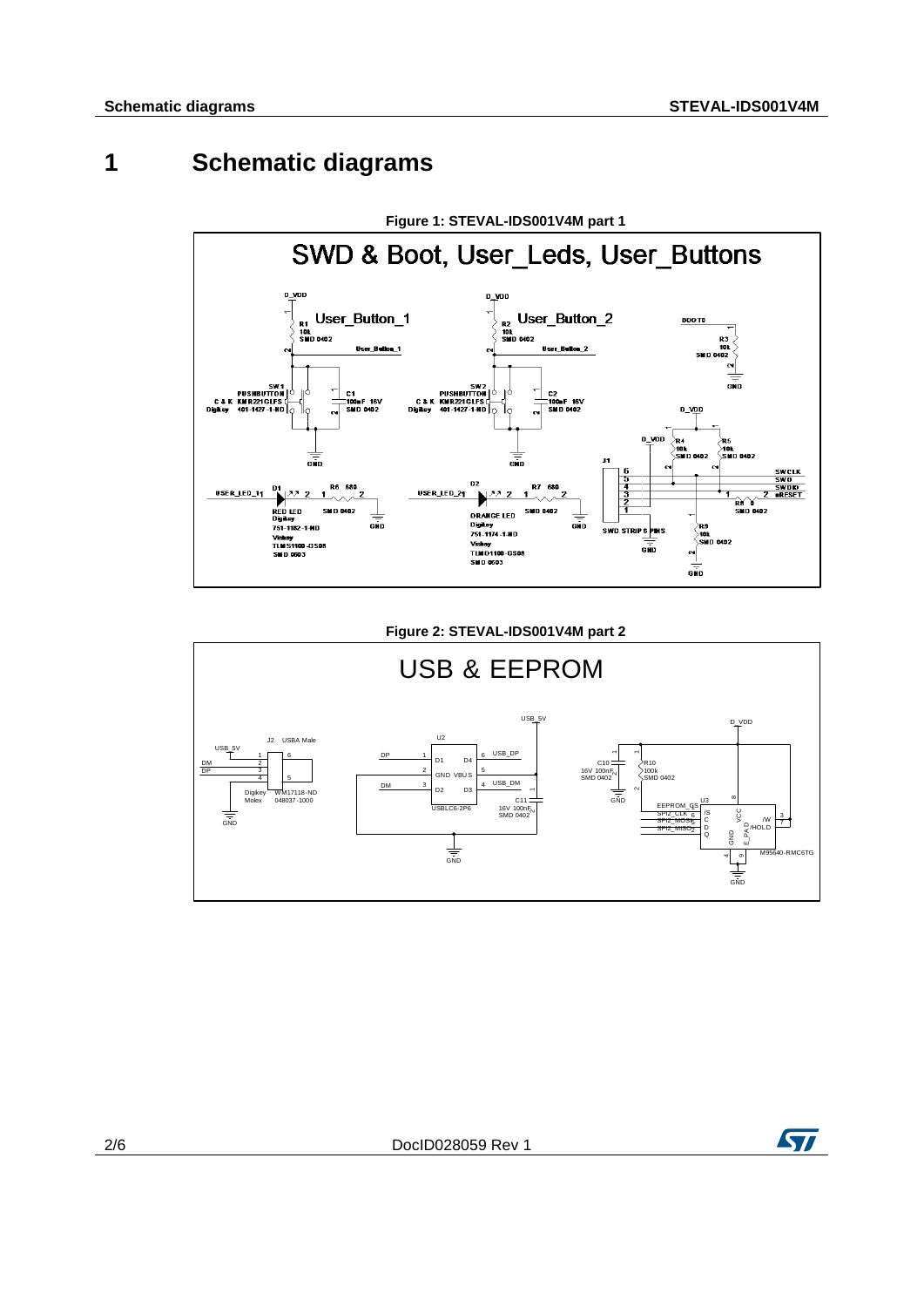### **1 Schematic diagrams**



#### **Figure 2: STEVAL-IDS001V4M part 2** USB & EEPROM DM DP DP USB\_DM USB\_DP DM SPI2\_CLK SPI2\_MOSI SPI2\_MISO EEPROM\_CS USB\_5V  $\frac{1}{\frac{1}{\sin D}}$ GND  $\frac{1}{\sin \theta}$  $\overline{D}$ USB\_5V GND R10 100k  $\stackrel{\textstyle\cdots}{\textstyle\prod}$  0402 J2 USBA Male  $\frac{1}{N}$ M17118-ND Molex 048037-1000 1 3 4 5 6 C10 16V 100nF SMD 0402 C11 16V 100nF SMD 0402 U3 M95640-RMC6TG  $\frac{13}{6}$ 4 Q 2 / W 3  $\frac{60}{3}$  M  $\frac{13}{2}$ <br> $\frac{6}{3}$  M  $\frac{13}{2}$ 45 | C 6  $^{\circ}$  $\tilde{\epsilon}$ U2 USBLC6-2P6 D1 1 GND VBU S 2 D2 3 D3 4 D4 6 5

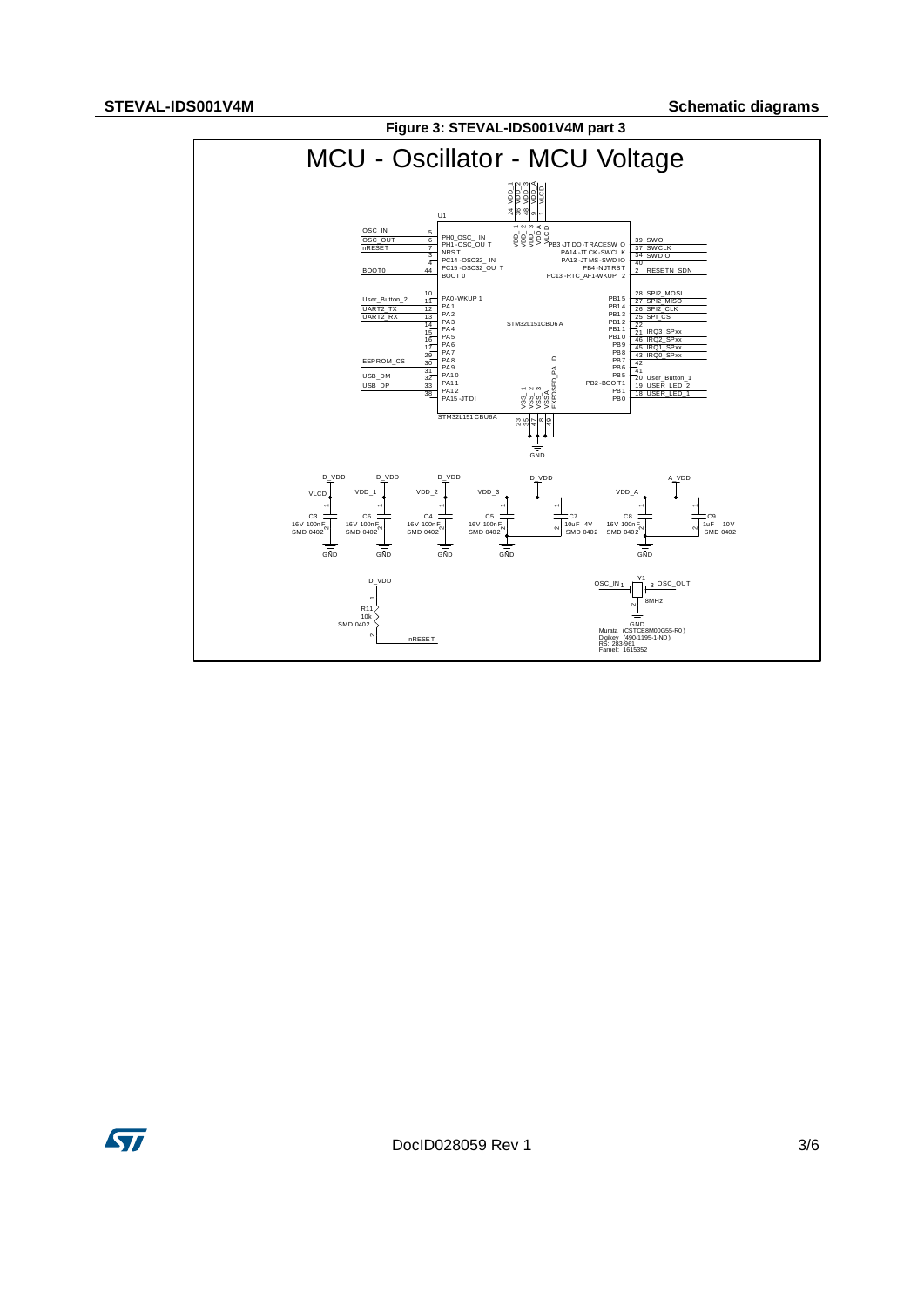

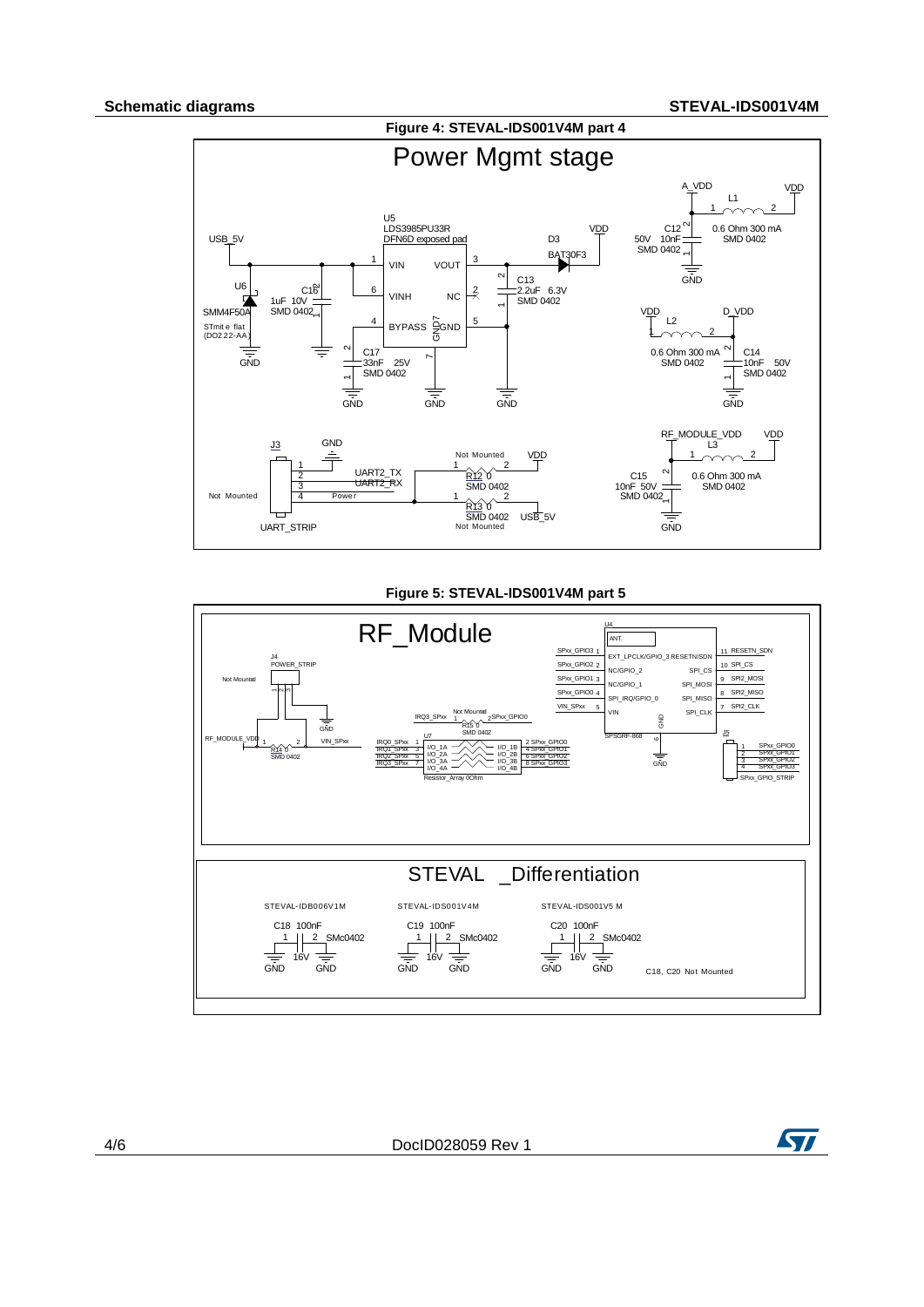

#### **Figure 5: STEVAL-IDS001V4M part 5**



4/6 DocID028059 Rev 1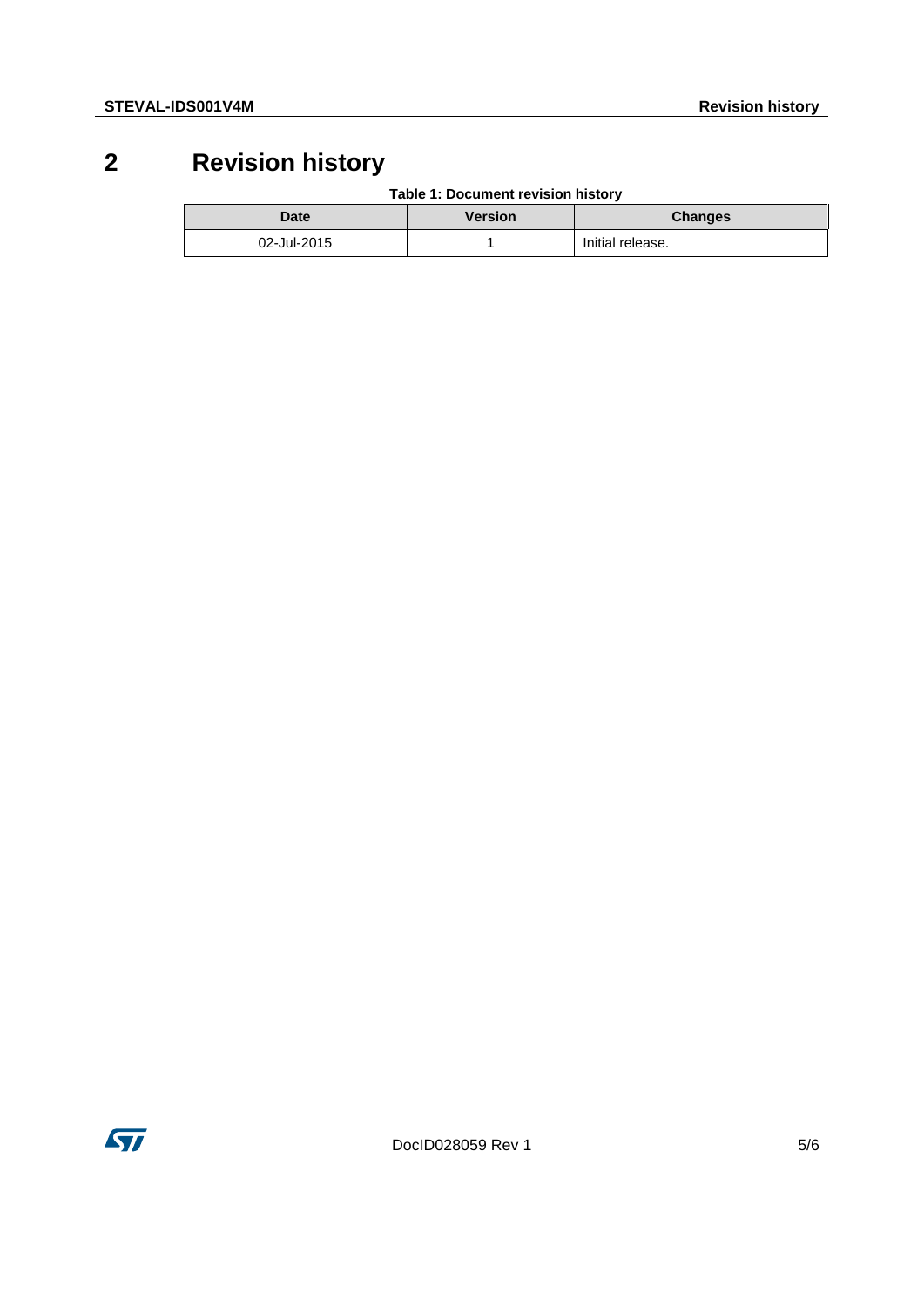## **2 Revision history**

**Table 1: Document revision history**

| Date        | <b>Version</b> | <b>Changes</b>   |
|-------------|----------------|------------------|
| 02-Jul-2015 |                | Initial release. |